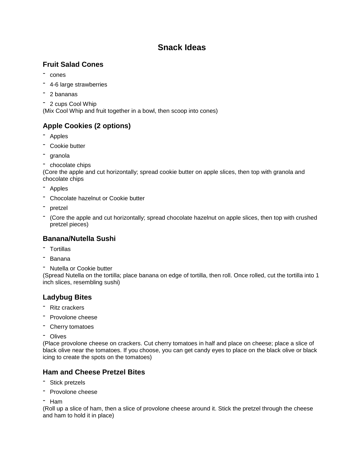# **Snack Ideas**

## **Fruit Salad Cones**

- cones
- 4-6 large strawberries
- <sup>2</sup> bananas
- <sup>2</sup> cups Cool Whip

(Mix Cool Whip and fruit together in a bowl, then scoop into cones)

## **Apple Cookies (2 options)**

- Apples
- Cookie butter
- granola
- chocolate chips

(Core the apple and cut horizontally; spread cookie butter on apple slices, then top with granola and chocolate chips

- Apples
- Chocolate hazelnut or Cookie butter
- pretzel
- (Core the apple and cut horizontally; spread chocolate hazelnut on apple slices, then top with crushed pretzel pieces)

## **Banana/Nutella Sushi**

- Tortillas
- Banana
- Nutella or Cookie butter

(Spread Nutella on the tortilla; place banana on edge of tortilla, then roll. Once rolled, cut the tortilla into 1 inch slices, resembling sushi)

## **Ladybug Bites**

- Ritz crackers
- Provolone cheese
- Cherry tomatoes
- Olives

(Place provolone cheese on crackers. Cut cherry tomatoes in half and place on cheese; place a slice of black olive near the tomatoes. If you choose, you can get candy eyes to place on the black olive or black icing to create the spots on the tomatoes)

## **Ham and Cheese Pretzel Bites**

- Stick pretzels
- Provolone cheese
- Ham

(Roll up a slice of ham, then a slice of provolone cheese around it. Stick the pretzel through the cheese and ham to hold it in place)